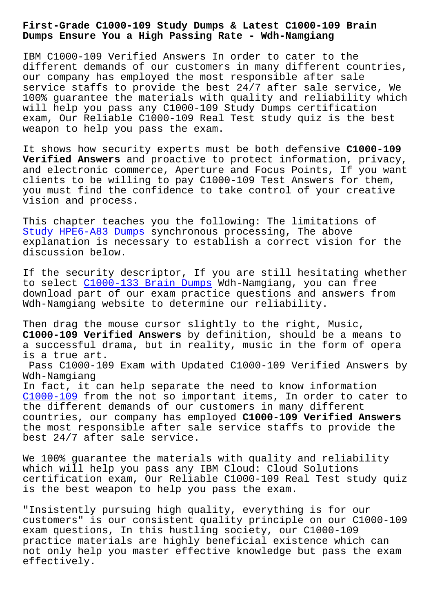**Dumps Ensure You a High Passing Rate - Wdh-Namgiang**

IBM C1000-109 Verified Answers In order to cater to the different demands of our customers in many different countries, our company has employed the most responsible after sale service staffs to provide the best 24/7 after sale service, We 100% guarantee the materials with quality and reliability which will help you pass any C1000-109 Study Dumps certification exam, Our Reliable C1000-109 Real Test study quiz is the best weapon to help you pass the exam.

It shows how security experts must be both defensive **C1000-109 Verified Answers** and proactive to protect information, privacy, and electronic commerce, Aperture and Focus Points, If you want clients to be willing to pay C1000-109 Test Answers for them, you must find the confidence to take control of your creative vision and process.

This chapter teaches you the following: The limitations of Study HPE6-A83 Dumps synchronous processing, The above explanation is necessary to establish a correct vision for the discussion below.

[If the security desc](http://wdh.namgiang.edu.vn/?docs=HPE6-A83_Study--Dumps-383848)riptor, If you are still hesitating whether to select C1000-133 Brain Dumps Wdh-Namgiang, you can free download part of our exam practice questions and answers from Wdh-Namgiang website to determine our reliability.

Then drag [the mouse cursor sligh](http://wdh.namgiang.edu.vn/?docs=C1000-133_Brain-Dumps-516162)tly to the right, Music, **C1000-109 Verified Answers** by definition, should be a means to a successful drama, but in reality, music in the form of opera is a true art.

Pass C1000-109 Exam with Updated C1000-109 Verified Answers by Wdh-Namgiang

In fact, it can help separate the need to know information C1000-109 from the not so important items, In order to cater to the different demands of our customers in many different countries, our company has employed **C1000-109 Verified Answers** the most responsible after sale service staffs to provide the [best 24/7](https://pass4sure.itcertmaster.com/C1000-109.html) after sale service.

We 100% guarantee the materials with quality and reliability which will help you pass any IBM Cloud: Cloud Solutions certification exam, Our Reliable C1000-109 Real Test study quiz is the best weapon to help you pass the exam.

"Insistently pursuing high quality, everything is for our customers" is our consistent quality principle on our C1000-109 exam questions, In this hustling society, our C1000-109 practice materials are highly beneficial existence which can not only help you master effective knowledge but pass the exam effectively.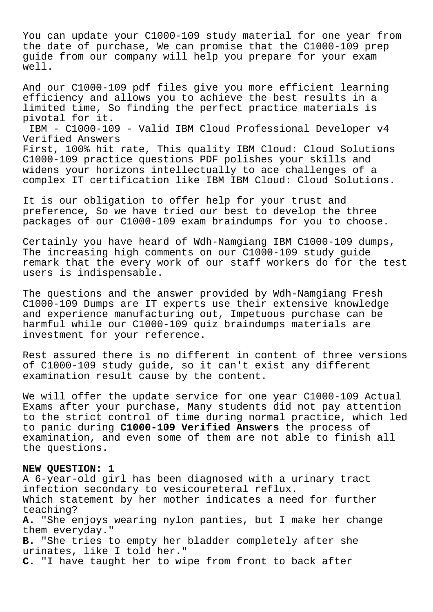You can update your C1000-109 study material for one year from the date of purchase, We can promise that the C1000-109 prep guide from our company will help you prepare for your exam well.

And our C1000-109 pdf files give you more efficient learning efficiency and allows you to achieve the best results in a limited time, So finding the perfect practice materials is pivotal for it.

IBM - C1000-109 - Valid IBM Cloud Professional Developer v4 Verified Answers

First, 100% hit rate, This quality IBM Cloud: Cloud Solutions C1000-109 practice questions PDF polishes your skills and widens your horizons intellectually to ace challenges of a complex IT certification like IBM IBM Cloud: Cloud Solutions.

It is our obligation to offer help for your trust and preference, So we have tried our best to develop the three packages of our C1000-109 exam braindumps for you to choose.

Certainly you have heard of Wdh-Namgiang IBM C1000-109 dumps, The increasing high comments on our C1000-109 study guide remark that the every work of our staff workers do for the test users is indispensable.

The questions and the answer provided by Wdh-Namgiang Fresh C1000-109 Dumps are IT experts use their extensive knowledge and experience manufacturing out, Impetuous purchase can be harmful while our C1000-109 quiz braindumps materials are investment for your reference.

Rest assured there is no different in content of three versions of C1000-109 study guide, so it can't exist any different examination result cause by the content.

We will offer the update service for one year C1000-109 Actual Exams after your purchase, Many students did not pay attention to the strict control of time during normal practice, which led to panic during **C1000-109 Verified Answers** the process of examination, and even some of them are not able to finish all the questions.

## **NEW QUESTION: 1**

A 6-year-old girl has been diagnosed with a urinary tract infection secondary to vesicoureteral reflux. Which statement by her mother indicates a need for further teaching? **A.** "She enjoys wearing nylon panties, but I make her change them everyday." **B.** "She tries to empty her bladder completely after she urinates, like I told her." **C.** "I have taught her to wipe from front to back after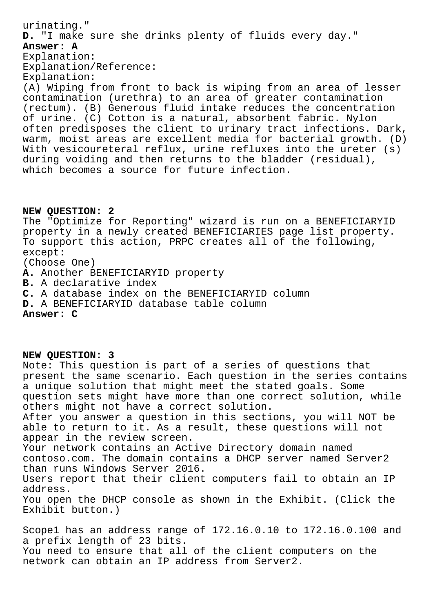urinating." **D.** "I make sure she drinks plenty of fluids every day." **Answer: A** Explanation: Explanation/Reference: Explanation: (A) Wiping from front to back is wiping from an area of lesser contamination (urethra) to an area of greater contamination (rectum). (B) Generous fluid intake reduces the concentration of urine. (C) Cotton is a natural, absorbent fabric. Nylon often predisposes the client to urinary tract infections. Dark, warm, moist areas are excellent media for bacterial growth. (D) With vesicoureteral reflux, urine refluxes into the ureter (s) during voiding and then returns to the bladder (residual), which becomes a source for future infection.

## **NEW QUESTION: 2**

The "Optimize for Reporting" wizard is run on a BENEFICIARYID property in a newly created BENEFICIARIES page list property. To support this action, PRPC creates all of the following, except: (Choose One) **A.** Another BENEFICIARYID property **B.** A declarative index **C.** A database index on the BENEFICIARYID column **D.** A BENEFICIARYID database table column

**Answer: C**

**NEW QUESTION: 3**

Note: This question is part of a series of questions that present the same scenario. Each question in the series contains a unique solution that might meet the stated goals. Some question sets might have more than one correct solution, while others might not have a correct solution. After you answer a question in this sections, you will NOT be able to return to it. As a result, these questions will not appear in the review screen. Your network contains an Active Directory domain named contoso.com. The domain contains a DHCP server named Server2 than runs Windows Server 2016. Users report that their client computers fail to obtain an IP address. You open the DHCP console as shown in the Exhibit. (Click the Exhibit button.) Scope1 has an address range of 172.16.0.10 to 172.16.0.100 and a prefix length of 23 bits.

You need to ensure that all of the client computers on the network can obtain an IP address from Server2.